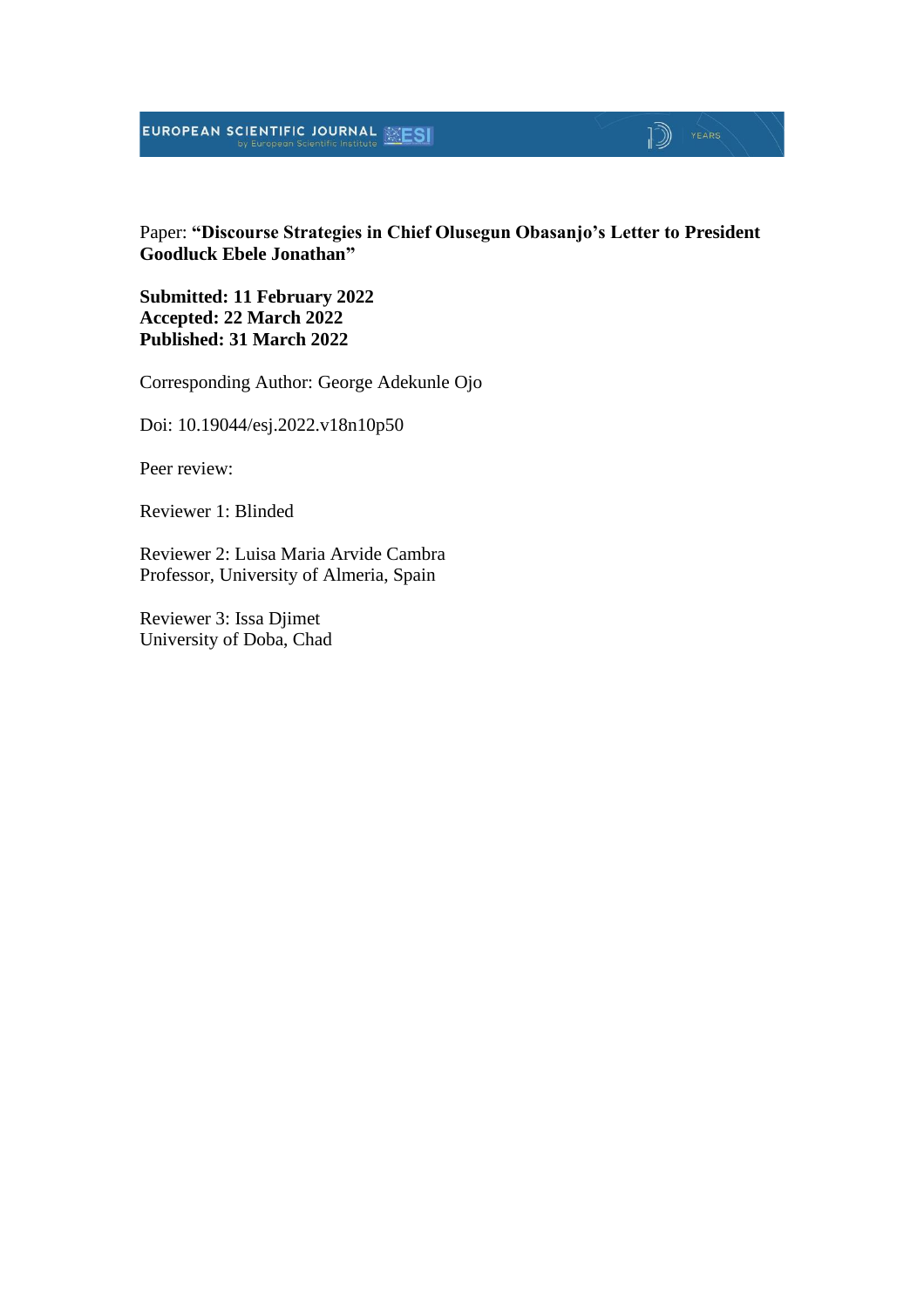#### EUROPEAN SCIENTIFIC JOURNAL MESI

## $\mathbb{D}$   $\mathbb{P}$   $\mathbb{P}$   $\mathbb{P}$   $\mathbb{P}$   $\mathbb{P}$   $\mathbb{P}$   $\mathbb{P}$   $\mathbb{P}$   $\mathbb{P}$   $\mathbb{P}$   $\mathbb{P}$   $\mathbb{P}$   $\mathbb{P}$   $\mathbb{P}$   $\mathbb{P}$   $\mathbb{P}$   $\mathbb{P}$   $\mathbb{P}$   $\mathbb{P}$   $\mathbb{P}$   $\mathbb{P}$   $\mathbb{P}$   $\mathbb{P}$   $\mathbb{$

#### Paper: **"Discourse Strategies in Chief Olusegun Obasanjo's Letter to President Goodluck Ebele Jonathan"**

**Submitted: 11 February 2022 Accepted: 22 March 2022 Published: 31 March 2022**

Corresponding Author: George Adekunle Ojo

Doi: 10.19044/esj.2022.v18n10p50

Peer review:

Reviewer 1: Blinded

Reviewer 2: Luisa Maria Arvide Cambra Professor, University of Almeria, Spain

Reviewer 3: Issa Djimet University of Doba, Chad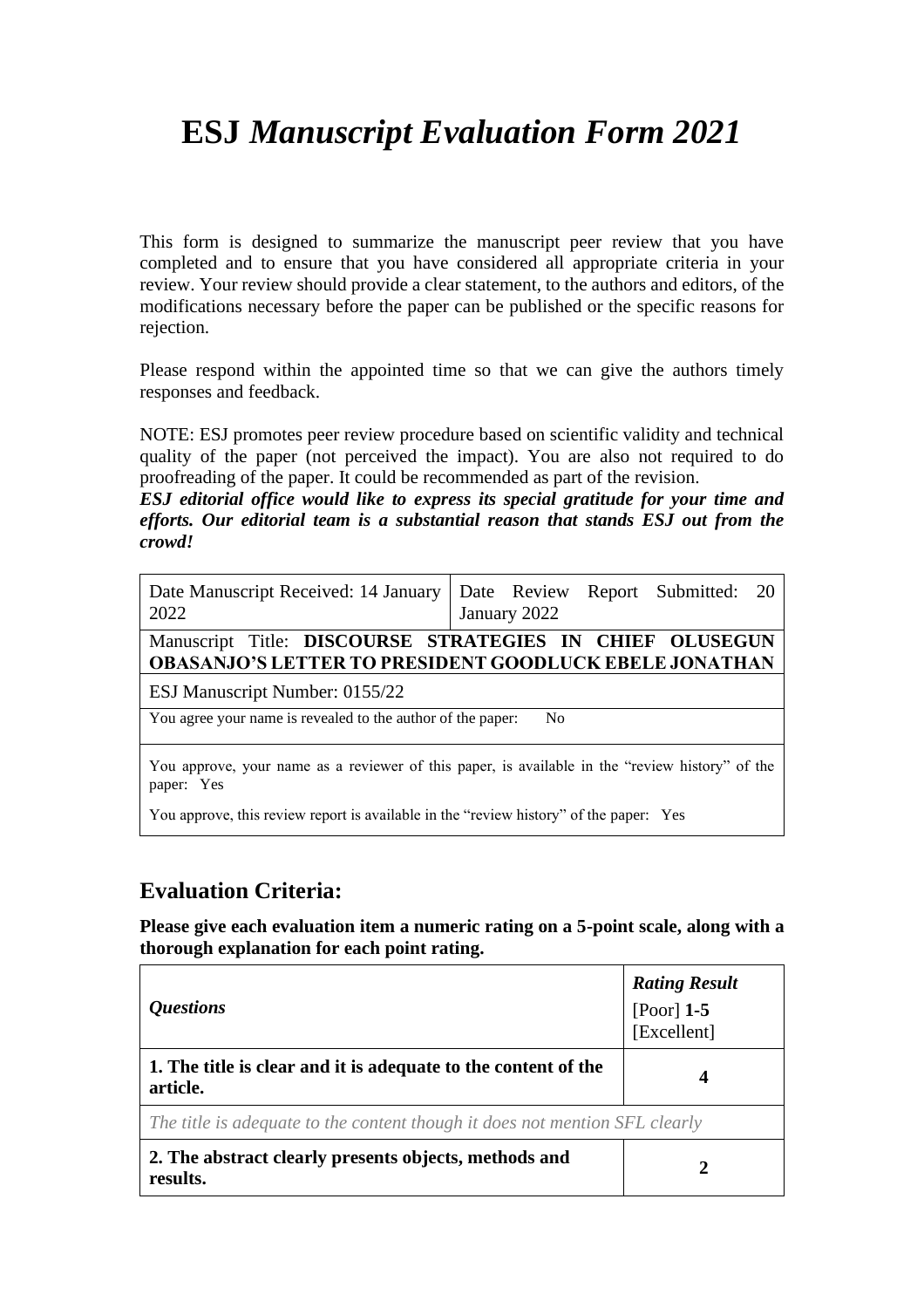# **ESJ** *Manuscript Evaluation Form 2021*

This form is designed to summarize the manuscript peer review that you have completed and to ensure that you have considered all appropriate criteria in your review. Your review should provide a clear statement, to the authors and editors, of the modifications necessary before the paper can be published or the specific reasons for rejection.

Please respond within the appointed time so that we can give the authors timely responses and feedback.

NOTE: ESJ promotes peer review procedure based on scientific validity and technical quality of the paper (not perceived the impact). You are also not required to do proofreading of the paper. It could be recommended as part of the revision.

*ESJ editorial office would like to express its special gratitude for your time and efforts. Our editorial team is a substantial reason that stands ESJ out from the crowd!*

| Date Manuscript Received: 14 January<br>2022                                                                  | Date Review Report Submitted: 20<br>January 2022         |  |
|---------------------------------------------------------------------------------------------------------------|----------------------------------------------------------|--|
|                                                                                                               | Manuscript Title: DISCOURSE STRATEGIES IN CHIEF OLUSEGUN |  |
| <b>OBASANJO'S LETTER TO PRESIDENT GOODLUCK EBELE JONATHAN</b>                                                 |                                                          |  |
| ESJ Manuscript Number: 0155/22                                                                                |                                                          |  |
| You agree your name is revealed to the author of the paper:<br>N <sub>0</sub>                                 |                                                          |  |
|                                                                                                               |                                                          |  |
| You approve, your name as a reviewer of this paper, is available in the "review history" of the<br>paper: Yes |                                                          |  |

You approve, this review report is available in the "review history" of the paper: Yes

#### **Evaluation Criteria:**

**Please give each evaluation item a numeric rating on a 5-point scale, along with a thorough explanation for each point rating.**

| <i><b>Questions</b></i>                                                     | <b>Rating Result</b><br>[Poor] $1-5$<br>[Excellent] |
|-----------------------------------------------------------------------------|-----------------------------------------------------|
| 1. The title is clear and it is adequate to the content of the<br>article.  |                                                     |
| The title is adequate to the content though it does not mention SFL clearly |                                                     |
| 2. The abstract clearly presents objects, methods and<br>results.           |                                                     |